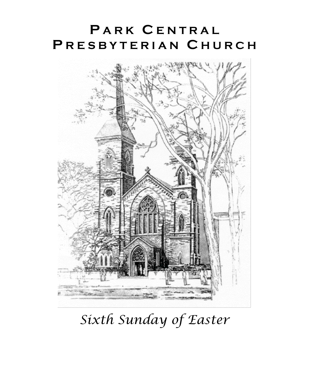## **P A R K C E N T R A L P R E S B Y T E R I A N C H U R C H**



*Sixth Sunday of Easter*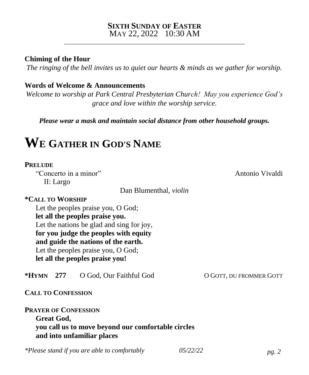#### **SIXTH SUNDAY OF EASTER** MAY 22, 2022 10:30 AM

\_\_\_\_\_\_\_\_\_\_\_\_\_\_\_\_\_\_\_\_\_\_\_\_\_\_\_\_\_\_\_\_\_\_\_\_\_\_\_\_\_\_\_\_\_\_\_\_\_\_\_\_\_\_\_\_\_\_\_

#### **Chiming of the Hour**

*The ringing of the bell invites us to quiet our hearts & minds as we gather for worship.*

#### **Words of Welcome & Announcements**

*Welcome to worship at Park Central Presbyterian Church! May you experience God's grace and love within the worship service.*

*Please wear a mask and maintain social distance from other household groups.*

### **W<sup>E</sup> GATHER IN GOD'S NAME**

#### **PRELUDE**

"Concerto in a minor" Antonio Vivaldi II: Largo

Dan Blumenthal, *violin*

#### **\*CALL TO WORSHIP**

Let the peoples praise you, O God; **let all the peoples praise you.** Let the nations be glad and sing for joy, **for you judge the peoples with equity and guide the nations of the earth.** Let the peoples praise you, O God; **let all the peoples praise you!**

**\*HYMN 277** O God, Our Faithful God O GOTT, DU FROMMER GOTT

**CALL TO CONFESSION**

**PRAYER OF CONFESSION Great God, you call us to move beyond our comfortable circles and into unfamiliar places** 

*\*Please stand if you are able to comfortably 05/22/22 pg. 2*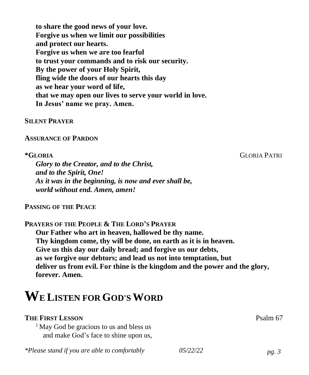**to share the good news of your love. Forgive us when we limit our possibilities and protect our hearts. Forgive us when we are too fearful to trust your commands and to risk our security. By the power of your Holy Spirit, fling wide the doors of our hearts this day as we hear your word of life, that we may open our lives to serve your world in love. In Jesus' name we pray. Amen.** 

#### **SILENT PRAYER**

#### **ASSURANCE OF PARDON**

**\*GLORIA** GLORIA PATRI

*Glory to the Creator, and to the Christ, and to the Spirit, One! As it was in the beginning, is now and ever shall be, world without end. Amen, amen!*

#### **PASSING OF THE PEACE**

**PRAYERS OF THE PEOPLE & THE LORD'S PRAYER**

**Our Father who art in heaven, hallowed be thy name. Thy kingdom come, thy will be done, on earth as it is in heaven. Give us this day our daily bread; and forgive us our debts, as we forgive our debtors; and lead us not into temptation, but deliver us from evil. For thine is the kingdom and the power and the glory, forever. Amen.**

# **WE LISTEN FOR GOD'SWORD**

### **THE FIRST LESSON** Psalm 67

<sup>1</sup> May God be gracious to us and bless us and make God's face to shine upon us,

*\*Please stand if you are able to comfortably 05/22/22 pg. 3*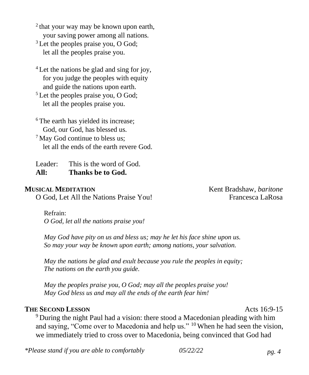<sup>2</sup> that your way may be known upon earth, your saving power among all nations.

<sup>3</sup> Let the peoples praise you, O God; let all the peoples praise you.

<sup>4</sup> Let the nations be glad and sing for joy, for you judge the peoples with equity and guide the nations upon earth.

<sup>5</sup> Let the peoples praise you, O God; let all the peoples praise you.

<sup>6</sup> The earth has yielded its increase; God, our God, has blessed us. <sup>7</sup> May God continue to bless us;

let all the ends of the earth revere God.

Leader: This is the word of God. **All: Thanks be to God.**

O God, Let All the Nations Praise You! Francesca LaRosa

**MUSICAL MEDITATION** Kent Bradshaw, *baritone*

Refrain: *O God, let all the nations praise you!*

*May God have pity on us and bless us; may he let his face shine upon us. So may your way be known upon earth; among nations, your salvation.*

*May the nations be glad and exult because you rule the peoples in equity; The nations on the earth you guide.*

*May the peoples praise you, O God; may all the peoples praise you! May God bless us and may all the ends of the earth fear him!*

#### **THE SECOND LESSON** Acts 16:9-15

<sup>9</sup> During the night Paul had a vision: there stood a Macedonian pleading with him and saying, "Come over to Macedonia and help us." <sup>10</sup> When he had seen the vision, we immediately tried to cross over to Macedonia, being convinced that God had

*\*Please stand if you are able to comfortably 05/22/22 pg. 4*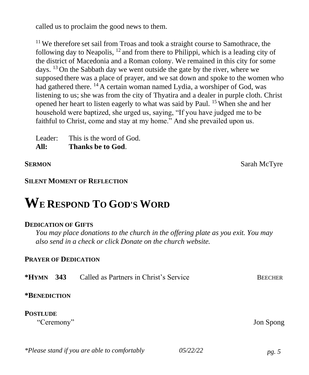called us to proclaim the good news to them.

 $11$  We therefore set sail from Troas and took a straight course to Samothrace, the following day to Neapolis,  $^{12}$  and from there to Philippi, which is a leading city of the district of Macedonia and a Roman colony. We remained in this city for some days.  $13$  On the Sabbath day we went outside the gate by the river, where we supposed there was a place of prayer, and we sat down and spoke to the women who had gathered there.  $^{14}$  A certain woman named Lydia, a worshiper of God, was listening to us; she was from the city of Thyatira and a dealer in purple cloth. Christ opened her heart to listen eagerly to what was said by Paul. <sup>15</sup> When she and her household were baptized, she urged us, saying, "If you have judged me to be faithful to Christ, come and stay at my home." And she prevailed upon us.

Leader: This is the word of God. **All: Thanks be to God**.

**SERMON** Sarah McTyre

#### **SILENT MOMENT OF REFLECTION**

## **WE RESPOND TO GOD'S WORD**

#### **DEDICATION OF GIFTS**

*You may place donations to the church in the offering plate as you exit. You may also send in a check or click Donate on the church website.*

#### **PRAYER OF DEDICATION**

| $*HYMN$ 343                   | Called as Partners in Christ's Service | <b>BEECHER</b> |
|-------------------------------|----------------------------------------|----------------|
| *BENEDICTION                  |                                        |                |
| <b>POSTLUDE</b><br>"Ceremony" |                                        | Jon Spong      |

| *Please stand if you are able to comfortably | 05/22/22 | pg. 5 |
|----------------------------------------------|----------|-------|
|----------------------------------------------|----------|-------|